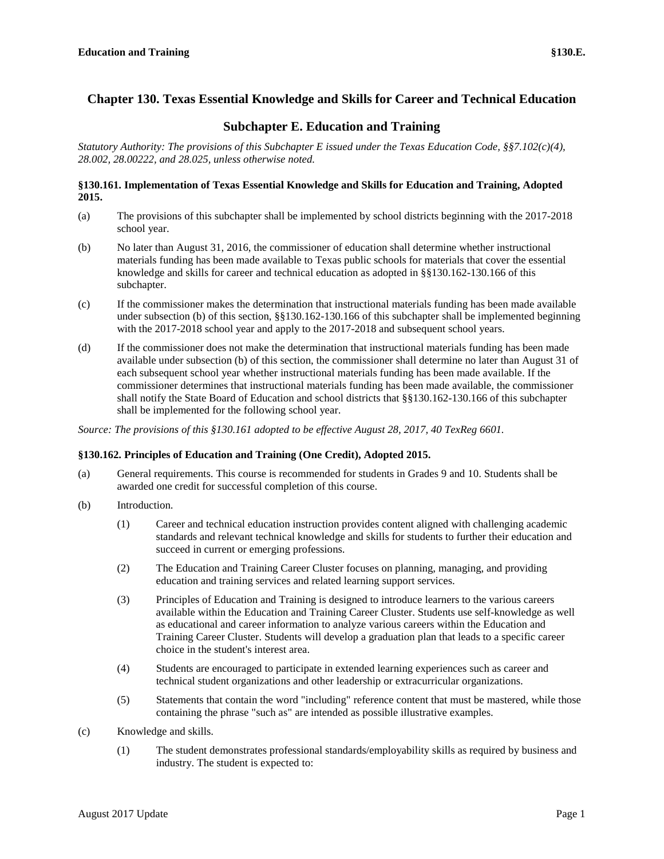# **Chapter 130. Texas Essential Knowledge and Skills for Career and Technical Education**

# **Subchapter E. Education and Training**

*Statutory Authority: The provisions of this Subchapter E issued under the Texas Education Code, §§7.102(c)(4), 28.002, 28.00222, and 28.025, unless otherwise noted.*

# **§130.161. Implementation of Texas Essential Knowledge and Skills for Education and Training, Adopted 2015.**

- (a) The provisions of this subchapter shall be implemented by school districts beginning with the 2017-2018 school year.
- (b) No later than August 31, 2016, the commissioner of education shall determine whether instructional materials funding has been made available to Texas public schools for materials that cover the essential knowledge and skills for career and technical education as adopted in §§130.162-130.166 of this subchapter.
- (c) If the commissioner makes the determination that instructional materials funding has been made available under subsection (b) of this section, §§130.162-130.166 of this subchapter shall be implemented beginning with the 2017-2018 school year and apply to the 2017-2018 and subsequent school years.
- (d) If the commissioner does not make the determination that instructional materials funding has been made available under subsection (b) of this section, the commissioner shall determine no later than August 31 of each subsequent school year whether instructional materials funding has been made available. If the commissioner determines that instructional materials funding has been made available, the commissioner shall notify the State Board of Education and school districts that §§130.162-130.166 of this subchapter shall be implemented for the following school year.

*Source: The provisions of this §130.161 adopted to be effective August 28, 2017, 40 TexReg 6601.*

# **§130.162. Principles of Education and Training (One Credit), Adopted 2015.**

- (a) General requirements. This course is recommended for students in Grades 9 and 10. Students shall be awarded one credit for successful completion of this course.
- (b) Introduction.
	- (1) Career and technical education instruction provides content aligned with challenging academic standards and relevant technical knowledge and skills for students to further their education and succeed in current or emerging professions.
	- (2) The Education and Training Career Cluster focuses on planning, managing, and providing education and training services and related learning support services.
	- (3) Principles of Education and Training is designed to introduce learners to the various careers available within the Education and Training Career Cluster. Students use self-knowledge as well as educational and career information to analyze various careers within the Education and Training Career Cluster. Students will develop a graduation plan that leads to a specific career choice in the student's interest area.
	- (4) Students are encouraged to participate in extended learning experiences such as career and technical student organizations and other leadership or extracurricular organizations.
	- (5) Statements that contain the word "including" reference content that must be mastered, while those containing the phrase "such as" are intended as possible illustrative examples.
- (c) Knowledge and skills.
	- (1) The student demonstrates professional standards/employability skills as required by business and industry. The student is expected to: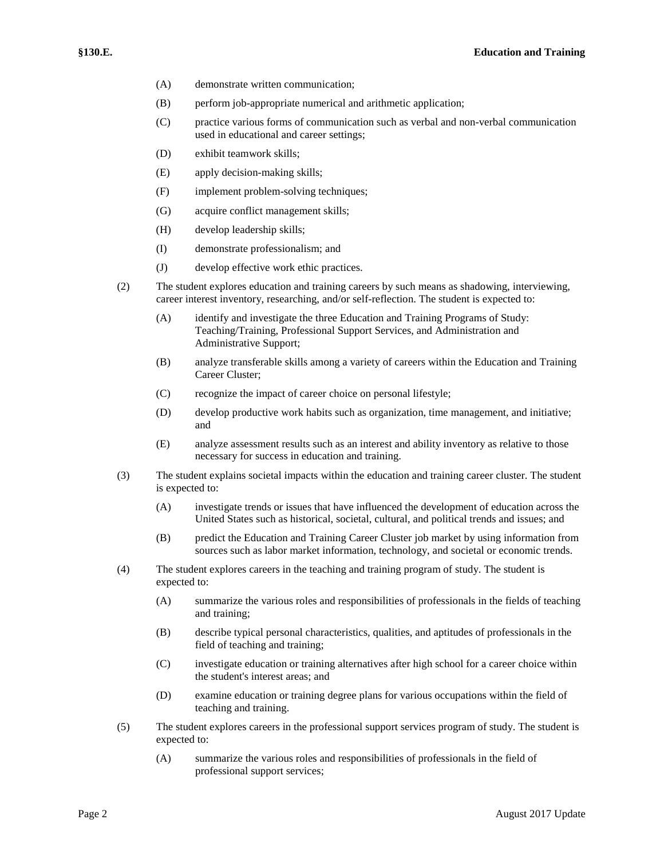- (A) demonstrate written communication;
- (B) perform job-appropriate numerical and arithmetic application;
- (C) practice various forms of communication such as verbal and non-verbal communication used in educational and career settings;
- (D) exhibit teamwork skills;
- (E) apply decision-making skills;
- (F) implement problem-solving techniques;
- (G) acquire conflict management skills;
- (H) develop leadership skills;
- (I) demonstrate professionalism; and
- (J) develop effective work ethic practices.
- (2) The student explores education and training careers by such means as shadowing, interviewing, career interest inventory, researching, and/or self-reflection. The student is expected to:
	- (A) identify and investigate the three Education and Training Programs of Study: Teaching/Training, Professional Support Services, and Administration and Administrative Support;
	- (B) analyze transferable skills among a variety of careers within the Education and Training Career Cluster;
	- (C) recognize the impact of career choice on personal lifestyle;
	- (D) develop productive work habits such as organization, time management, and initiative; and
	- (E) analyze assessment results such as an interest and ability inventory as relative to those necessary for success in education and training.
- (3) The student explains societal impacts within the education and training career cluster. The student is expected to:
	- (A) investigate trends or issues that have influenced the development of education across the United States such as historical, societal, cultural, and political trends and issues; and
	- (B) predict the Education and Training Career Cluster job market by using information from sources such as labor market information, technology, and societal or economic trends.
- (4) The student explores careers in the teaching and training program of study. The student is expected to:
	- (A) summarize the various roles and responsibilities of professionals in the fields of teaching and training;
	- (B) describe typical personal characteristics, qualities, and aptitudes of professionals in the field of teaching and training;
	- (C) investigate education or training alternatives after high school for a career choice within the student's interest areas; and
	- (D) examine education or training degree plans for various occupations within the field of teaching and training.
- (5) The student explores careers in the professional support services program of study. The student is expected to:
	- (A) summarize the various roles and responsibilities of professionals in the field of professional support services;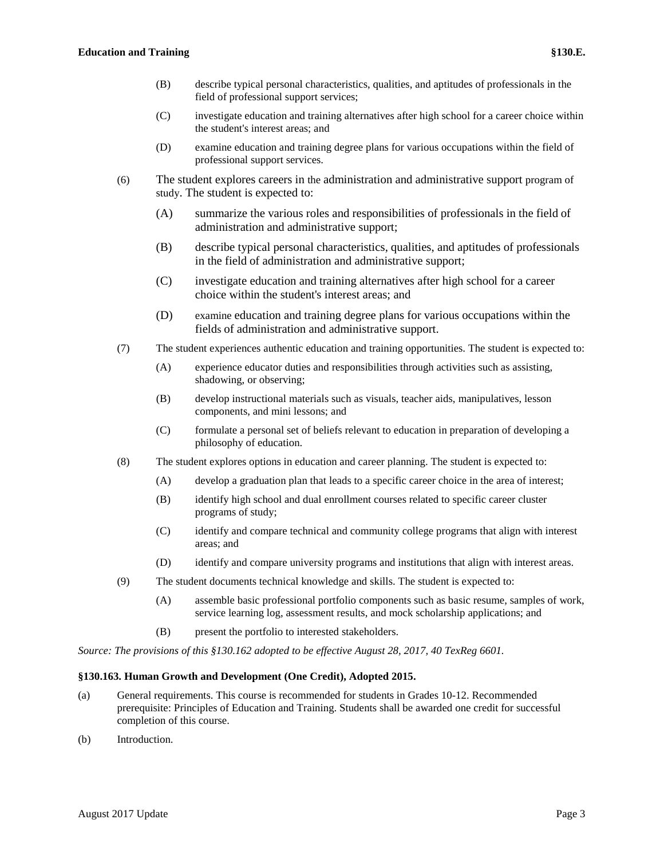- (B) describe typical personal characteristics, qualities, and aptitudes of professionals in the field of professional support services;
- (C) investigate education and training alternatives after high school for a career choice within the student's interest areas; and
- (D) examine education and training degree plans for various occupations within the field of professional support services.
- (6) The student explores careers in the administration and administrative support program of study. The student is expected to:
	- (A) summarize the various roles and responsibilities of professionals in the field of administration and administrative support;
	- (B) describe typical personal characteristics, qualities, and aptitudes of professionals in the field of administration and administrative support;
	- (C) investigate education and training alternatives after high school for a career choice within the student's interest areas; and
	- (D) examine education and training degree plans for various occupations within the fields of administration and administrative support.
- (7) The student experiences authentic education and training opportunities. The student is expected to:
	- (A) experience educator duties and responsibilities through activities such as assisting, shadowing, or observing;
	- (B) develop instructional materials such as visuals, teacher aids, manipulatives, lesson components, and mini lessons; and
	- (C) formulate a personal set of beliefs relevant to education in preparation of developing a philosophy of education.
- (8) The student explores options in education and career planning. The student is expected to:
	- (A) develop a graduation plan that leads to a specific career choice in the area of interest;
	- (B) identify high school and dual enrollment courses related to specific career cluster programs of study;
	- (C) identify and compare technical and community college programs that align with interest areas; and
	- (D) identify and compare university programs and institutions that align with interest areas.
- (9) The student documents technical knowledge and skills. The student is expected to:
	- (A) assemble basic professional portfolio components such as basic resume, samples of work, service learning log, assessment results, and mock scholarship applications; and
	- (B) present the portfolio to interested stakeholders.

*Source: The provisions of this §130.162 adopted to be effective August 28, 2017, 40 TexReg 6601.*

# **§130.163. Human Growth and Development (One Credit), Adopted 2015.**

- (a) General requirements. This course is recommended for students in Grades 10-12. Recommended prerequisite: Principles of Education and Training. Students shall be awarded one credit for successful completion of this course.
- (b) Introduction.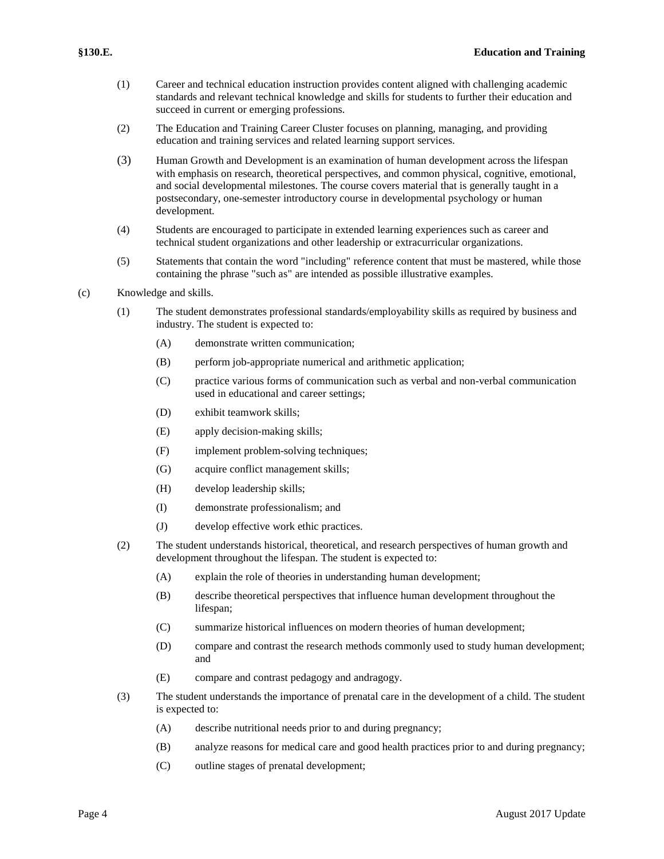- (1) Career and technical education instruction provides content aligned with challenging academic standards and relevant technical knowledge and skills for students to further their education and succeed in current or emerging professions.
- (2) The Education and Training Career Cluster focuses on planning, managing, and providing education and training services and related learning support services.
- (3) Human Growth and Development is an examination of human development across the lifespan with emphasis on research, theoretical perspectives, and common physical, cognitive, emotional, and social developmental milestones. The course covers material that is generally taught in a postsecondary, one-semester introductory course in developmental psychology or human development.
- (4) Students are encouraged to participate in extended learning experiences such as career and technical student organizations and other leadership or extracurricular organizations.
- (5) Statements that contain the word "including" reference content that must be mastered, while those containing the phrase "such as" are intended as possible illustrative examples.
- (c) Knowledge and skills.
	- (1) The student demonstrates professional standards/employability skills as required by business and industry. The student is expected to:
		- (A) demonstrate written communication;
		- (B) perform job-appropriate numerical and arithmetic application;
		- (C) practice various forms of communication such as verbal and non-verbal communication used in educational and career settings;
		- (D) exhibit teamwork skills;
		- (E) apply decision-making skills;
		- (F) implement problem-solving techniques;
		- (G) acquire conflict management skills;
		- (H) develop leadership skills;
		- (I) demonstrate professionalism; and
		- (J) develop effective work ethic practices.
	- (2) The student understands historical, theoretical, and research perspectives of human growth and development throughout the lifespan. The student is expected to:
		- (A) explain the role of theories in understanding human development;
		- (B) describe theoretical perspectives that influence human development throughout the lifespan;
		- (C) summarize historical influences on modern theories of human development;
		- (D) compare and contrast the research methods commonly used to study human development; and
		- (E) compare and contrast pedagogy and andragogy.
	- (3) The student understands the importance of prenatal care in the development of a child. The student is expected to:
		- (A) describe nutritional needs prior to and during pregnancy;
		- (B) analyze reasons for medical care and good health practices prior to and during pregnancy;
		- (C) outline stages of prenatal development;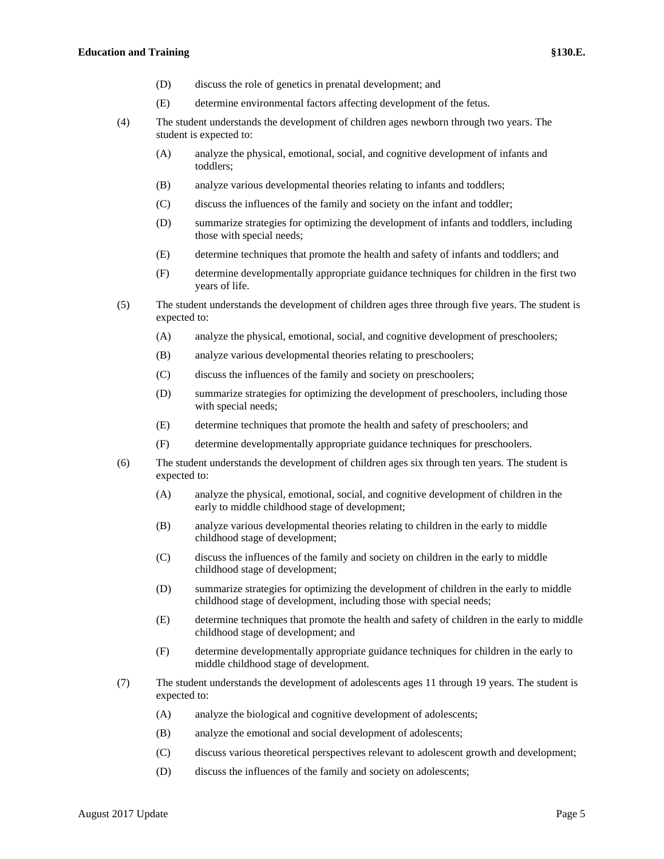- (D) discuss the role of genetics in prenatal development; and
- (E) determine environmental factors affecting development of the fetus.
- (4) The student understands the development of children ages newborn through two years. The student is expected to:
	- (A) analyze the physical, emotional, social, and cognitive development of infants and toddlers;
	- (B) analyze various developmental theories relating to infants and toddlers;
	- (C) discuss the influences of the family and society on the infant and toddler;
	- (D) summarize strategies for optimizing the development of infants and toddlers, including those with special needs;
	- (E) determine techniques that promote the health and safety of infants and toddlers; and
	- (F) determine developmentally appropriate guidance techniques for children in the first two years of life.
- (5) The student understands the development of children ages three through five years. The student is expected to:
	- (A) analyze the physical, emotional, social, and cognitive development of preschoolers;
	- (B) analyze various developmental theories relating to preschoolers;
	- (C) discuss the influences of the family and society on preschoolers;
	- (D) summarize strategies for optimizing the development of preschoolers, including those with special needs;
	- (E) determine techniques that promote the health and safety of preschoolers; and
	- (F) determine developmentally appropriate guidance techniques for preschoolers.
- (6) The student understands the development of children ages six through ten years. The student is expected to:
	- (A) analyze the physical, emotional, social, and cognitive development of children in the early to middle childhood stage of development;
	- (B) analyze various developmental theories relating to children in the early to middle childhood stage of development;
	- (C) discuss the influences of the family and society on children in the early to middle childhood stage of development;
	- (D) summarize strategies for optimizing the development of children in the early to middle childhood stage of development, including those with special needs;
	- (E) determine techniques that promote the health and safety of children in the early to middle childhood stage of development; and
	- (F) determine developmentally appropriate guidance techniques for children in the early to middle childhood stage of development.
- (7) The student understands the development of adolescents ages 11 through 19 years. The student is expected to:
	- (A) analyze the biological and cognitive development of adolescents;
	- (B) analyze the emotional and social development of adolescents;
	- (C) discuss various theoretical perspectives relevant to adolescent growth and development;
	- (D) discuss the influences of the family and society on adolescents;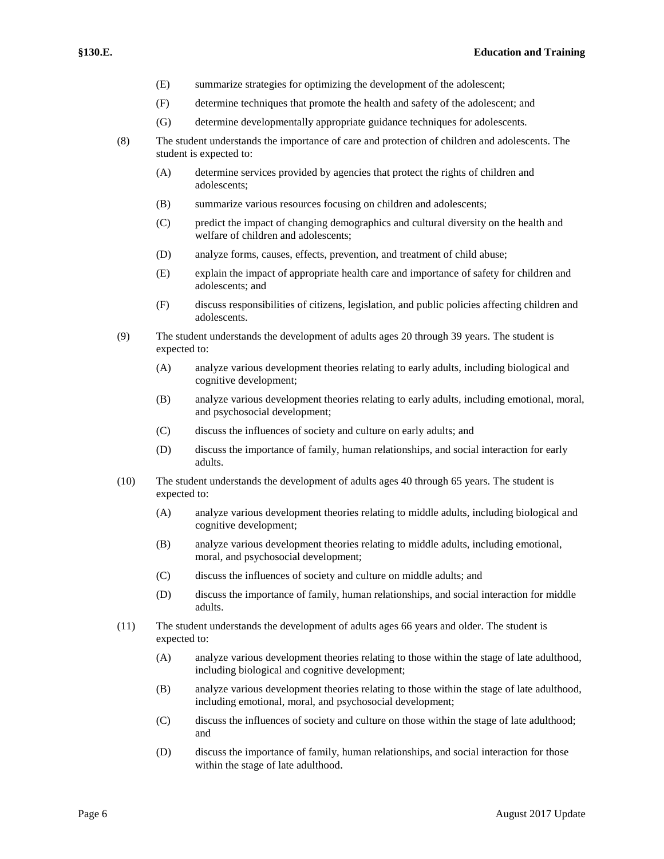- (E) summarize strategies for optimizing the development of the adolescent;
- (F) determine techniques that promote the health and safety of the adolescent; and
- (G) determine developmentally appropriate guidance techniques for adolescents.
- (8) The student understands the importance of care and protection of children and adolescents. The student is expected to:
	- (A) determine services provided by agencies that protect the rights of children and adolescents;
	- (B) summarize various resources focusing on children and adolescents;
	- (C) predict the impact of changing demographics and cultural diversity on the health and welfare of children and adolescents;
	- (D) analyze forms, causes, effects, prevention, and treatment of child abuse;
	- (E) explain the impact of appropriate health care and importance of safety for children and adolescents; and
	- (F) discuss responsibilities of citizens, legislation, and public policies affecting children and adolescents.
- (9) The student understands the development of adults ages 20 through 39 years. The student is expected to:
	- (A) analyze various development theories relating to early adults, including biological and cognitive development;
	- (B) analyze various development theories relating to early adults, including emotional, moral, and psychosocial development;
	- (C) discuss the influences of society and culture on early adults; and
	- (D) discuss the importance of family, human relationships, and social interaction for early adults.
- (10) The student understands the development of adults ages 40 through 65 years. The student is expected to:
	- (A) analyze various development theories relating to middle adults, including biological and cognitive development;
	- (B) analyze various development theories relating to middle adults, including emotional, moral, and psychosocial development;
	- (C) discuss the influences of society and culture on middle adults; and
	- (D) discuss the importance of family, human relationships, and social interaction for middle adults.
- (11) The student understands the development of adults ages 66 years and older. The student is expected to:
	- (A) analyze various development theories relating to those within the stage of late adulthood, including biological and cognitive development;
	- (B) analyze various development theories relating to those within the stage of late adulthood, including emotional, moral, and psychosocial development;
	- (C) discuss the influences of society and culture on those within the stage of late adulthood; and
	- (D) discuss the importance of family, human relationships, and social interaction for those within the stage of late adulthood.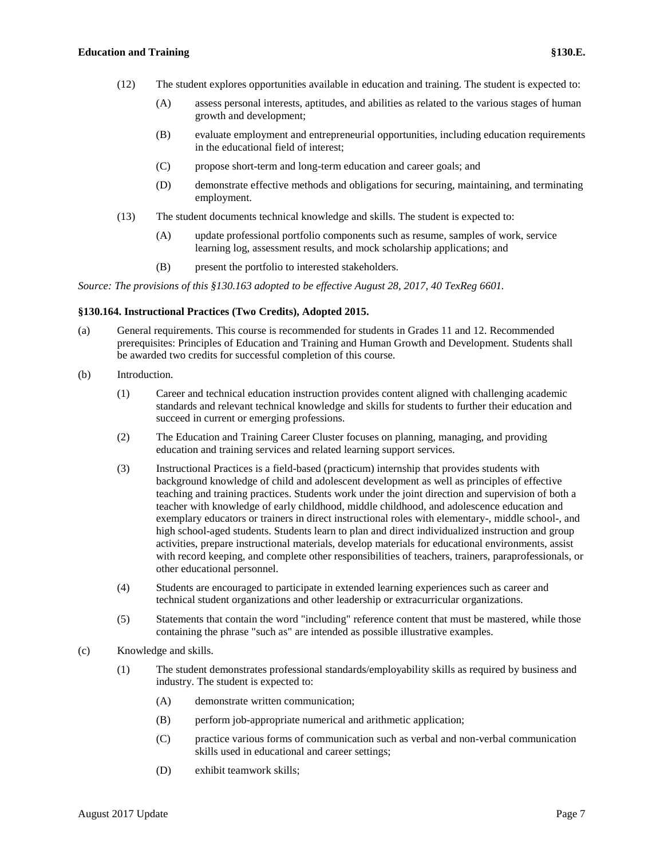- (12) The student explores opportunities available in education and training. The student is expected to:
	- (A) assess personal interests, aptitudes, and abilities as related to the various stages of human growth and development;
	- (B) evaluate employment and entrepreneurial opportunities, including education requirements in the educational field of interest;
	- (C) propose short-term and long-term education and career goals; and
	- (D) demonstrate effective methods and obligations for securing, maintaining, and terminating employment.
- (13) The student documents technical knowledge and skills. The student is expected to:
	- (A) update professional portfolio components such as resume, samples of work, service learning log, assessment results, and mock scholarship applications; and
	- (B) present the portfolio to interested stakeholders.

*Source: The provisions of this §130.163 adopted to be effective August 28, 2017, 40 TexReg 6601.*

# **§130.164. Instructional Practices (Two Credits), Adopted 2015.**

- (a) General requirements. This course is recommended for students in Grades 11 and 12. Recommended prerequisites: Principles of Education and Training and Human Growth and Development. Students shall be awarded two credits for successful completion of this course.
- (b) Introduction.
	- (1) Career and technical education instruction provides content aligned with challenging academic standards and relevant technical knowledge and skills for students to further their education and succeed in current or emerging professions.
	- (2) The Education and Training Career Cluster focuses on planning, managing, and providing education and training services and related learning support services.
	- (3) Instructional Practices is a field-based (practicum) internship that provides students with background knowledge of child and adolescent development as well as principles of effective teaching and training practices. Students work under the joint direction and supervision of both a teacher with knowledge of early childhood, middle childhood, and adolescence education and exemplary educators or trainers in direct instructional roles with elementary-, middle school-, and high school-aged students. Students learn to plan and direct individualized instruction and group activities, prepare instructional materials, develop materials for educational environments, assist with record keeping, and complete other responsibilities of teachers, trainers, paraprofessionals, or other educational personnel.
	- (4) Students are encouraged to participate in extended learning experiences such as career and technical student organizations and other leadership or extracurricular organizations.
	- (5) Statements that contain the word "including" reference content that must be mastered, while those containing the phrase "such as" are intended as possible illustrative examples.
- (c) Knowledge and skills.
	- (1) The student demonstrates professional standards/employability skills as required by business and industry. The student is expected to:
		- (A) demonstrate written communication;
		- (B) perform job-appropriate numerical and arithmetic application;
		- (C) practice various forms of communication such as verbal and non-verbal communication skills used in educational and career settings;
		- (D) exhibit teamwork skills;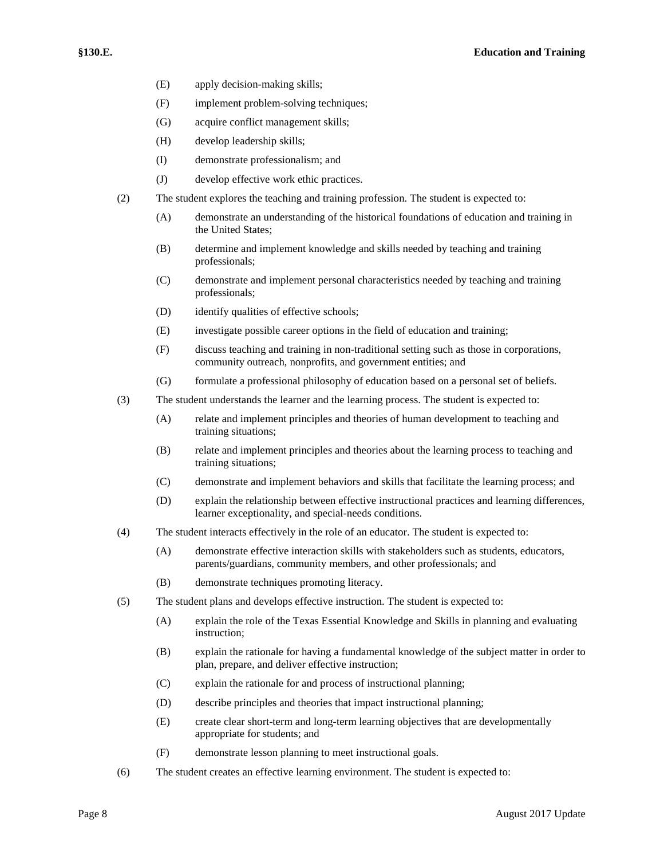- (E) apply decision-making skills;
- (F) implement problem-solving techniques;
- (G) acquire conflict management skills;
- (H) develop leadership skills;
- (I) demonstrate professionalism; and
- (J) develop effective work ethic practices.
- (2) The student explores the teaching and training profession. The student is expected to:
	- (A) demonstrate an understanding of the historical foundations of education and training in the United States;
	- (B) determine and implement knowledge and skills needed by teaching and training professionals;
	- (C) demonstrate and implement personal characteristics needed by teaching and training professionals;
	- (D) identify qualities of effective schools;
	- (E) investigate possible career options in the field of education and training;
	- (F) discuss teaching and training in non-traditional setting such as those in corporations, community outreach, nonprofits, and government entities; and
	- (G) formulate a professional philosophy of education based on a personal set of beliefs.
- (3) The student understands the learner and the learning process. The student is expected to:
	- (A) relate and implement principles and theories of human development to teaching and training situations;
	- (B) relate and implement principles and theories about the learning process to teaching and training situations;
	- (C) demonstrate and implement behaviors and skills that facilitate the learning process; and
	- (D) explain the relationship between effective instructional practices and learning differences, learner exceptionality, and special-needs conditions.
- (4) The student interacts effectively in the role of an educator. The student is expected to:
	- (A) demonstrate effective interaction skills with stakeholders such as students, educators, parents/guardians, community members, and other professionals; and
	- (B) demonstrate techniques promoting literacy.
- (5) The student plans and develops effective instruction. The student is expected to:
	- (A) explain the role of the Texas Essential Knowledge and Skills in planning and evaluating instruction;
	- (B) explain the rationale for having a fundamental knowledge of the subject matter in order to plan, prepare, and deliver effective instruction;
	- (C) explain the rationale for and process of instructional planning;
	- (D) describe principles and theories that impact instructional planning;
	- (E) create clear short-term and long-term learning objectives that are developmentally appropriate for students; and
	- (F) demonstrate lesson planning to meet instructional goals.
- (6) The student creates an effective learning environment. The student is expected to: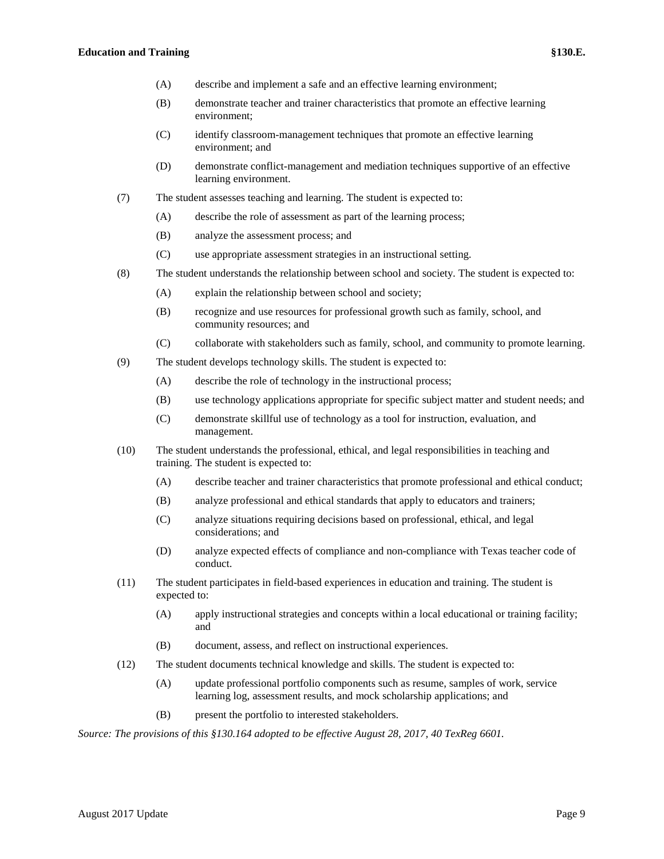### **Education and Training §130.E.**

- (A) describe and implement a safe and an effective learning environment;
- (B) demonstrate teacher and trainer characteristics that promote an effective learning environment;
- (C) identify classroom-management techniques that promote an effective learning environment; and
- (D) demonstrate conflict-management and mediation techniques supportive of an effective learning environment.
- (7) The student assesses teaching and learning. The student is expected to:
	- (A) describe the role of assessment as part of the learning process;
	- (B) analyze the assessment process; and
	- (C) use appropriate assessment strategies in an instructional setting.
- (8) The student understands the relationship between school and society. The student is expected to:
	- (A) explain the relationship between school and society;
	- (B) recognize and use resources for professional growth such as family, school, and community resources; and
	- (C) collaborate with stakeholders such as family, school, and community to promote learning.
- (9) The student develops technology skills. The student is expected to:
	- (A) describe the role of technology in the instructional process;
	- (B) use technology applications appropriate for specific subject matter and student needs; and
	- (C) demonstrate skillful use of technology as a tool for instruction, evaluation, and management.
- (10) The student understands the professional, ethical, and legal responsibilities in teaching and training. The student is expected to:
	- (A) describe teacher and trainer characteristics that promote professional and ethical conduct;
	- (B) analyze professional and ethical standards that apply to educators and trainers;
	- (C) analyze situations requiring decisions based on professional, ethical, and legal considerations; and
	- (D) analyze expected effects of compliance and non-compliance with Texas teacher code of conduct.
- (11) The student participates in field-based experiences in education and training. The student is expected to:
	- (A) apply instructional strategies and concepts within a local educational or training facility; and
	- (B) document, assess, and reflect on instructional experiences.
- (12) The student documents technical knowledge and skills. The student is expected to:
	- (A) update professional portfolio components such as resume, samples of work, service learning log, assessment results, and mock scholarship applications; and
	- (B) present the portfolio to interested stakeholders.

*Source: The provisions of this §130.164 adopted to be effective August 28, 2017, 40 TexReg 6601.*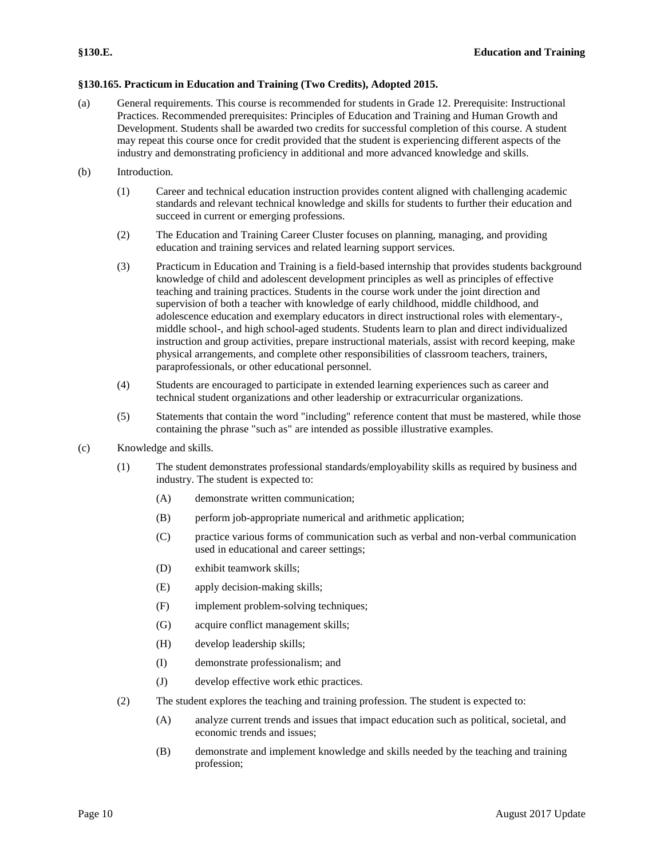# **§130.165. Practicum in Education and Training (Two Credits), Adopted 2015.**

- (a) General requirements. This course is recommended for students in Grade 12. Prerequisite: Instructional Practices. Recommended prerequisites: Principles of Education and Training and Human Growth and Development. Students shall be awarded two credits for successful completion of this course. A student may repeat this course once for credit provided that the student is experiencing different aspects of the industry and demonstrating proficiency in additional and more advanced knowledge and skills.
- (b) Introduction.
	- (1) Career and technical education instruction provides content aligned with challenging academic standards and relevant technical knowledge and skills for students to further their education and succeed in current or emerging professions.
	- (2) The Education and Training Career Cluster focuses on planning, managing, and providing education and training services and related learning support services.
	- (3) Practicum in Education and Training is a field-based internship that provides students background knowledge of child and adolescent development principles as well as principles of effective teaching and training practices. Students in the course work under the joint direction and supervision of both a teacher with knowledge of early childhood, middle childhood, and adolescence education and exemplary educators in direct instructional roles with elementary-, middle school-, and high school-aged students. Students learn to plan and direct individualized instruction and group activities, prepare instructional materials, assist with record keeping, make physical arrangements, and complete other responsibilities of classroom teachers, trainers, paraprofessionals, or other educational personnel.
	- (4) Students are encouraged to participate in extended learning experiences such as career and technical student organizations and other leadership or extracurricular organizations.
	- (5) Statements that contain the word "including" reference content that must be mastered, while those containing the phrase "such as" are intended as possible illustrative examples.
- (c) Knowledge and skills.
	- (1) The student demonstrates professional standards/employability skills as required by business and industry. The student is expected to:
		- (A) demonstrate written communication;
		- (B) perform job-appropriate numerical and arithmetic application;
		- (C) practice various forms of communication such as verbal and non-verbal communication used in educational and career settings;
		- (D) exhibit teamwork skills;
		- (E) apply decision-making skills;
		- (F) implement problem-solving techniques;
		- (G) acquire conflict management skills;
		- (H) develop leadership skills;
		- (I) demonstrate professionalism; and
		- (J) develop effective work ethic practices.
	- (2) The student explores the teaching and training profession. The student is expected to:
		- (A) analyze current trends and issues that impact education such as political, societal, and economic trends and issues;
		- (B) demonstrate and implement knowledge and skills needed by the teaching and training profession;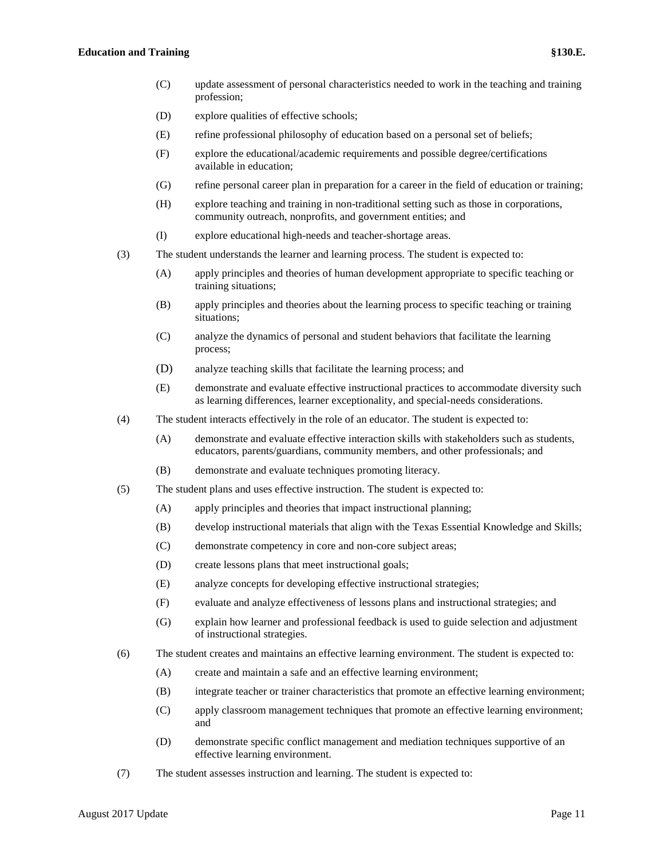### **Education and Training §130.E.**

- (C) update assessment of personal characteristics needed to work in the teaching and training profession;
- (D) explore qualities of effective schools;
- (E) refine professional philosophy of education based on a personal set of beliefs;
- (F) explore the educational/academic requirements and possible degree/certifications available in education;
- (G) refine personal career plan in preparation for a career in the field of education or training;
- (H) explore teaching and training in non-traditional setting such as those in corporations, community outreach, nonprofits, and government entities; and
- (I) explore educational high-needs and teacher-shortage areas.
- (3) The student understands the learner and learning process. The student is expected to:
	- (A) apply principles and theories of human development appropriate to specific teaching or training situations;
	- (B) apply principles and theories about the learning process to specific teaching or training situations;
	- (C) analyze the dynamics of personal and student behaviors that facilitate the learning process;
	- (D) analyze teaching skills that facilitate the learning process; and
	- (E) demonstrate and evaluate effective instructional practices to accommodate diversity such as learning differences, learner exceptionality, and special-needs considerations.
- (4) The student interacts effectively in the role of an educator. The student is expected to:
	- (A) demonstrate and evaluate effective interaction skills with stakeholders such as students, educators, parents/guardians, community members, and other professionals; and
	- (B) demonstrate and evaluate techniques promoting literacy.
- (5) The student plans and uses effective instruction. The student is expected to:
	- (A) apply principles and theories that impact instructional planning;
	- (B) develop instructional materials that align with the Texas Essential Knowledge and Skills;
	- (C) demonstrate competency in core and non-core subject areas;
	- (D) create lessons plans that meet instructional goals;
	- (E) analyze concepts for developing effective instructional strategies;
	- (F) evaluate and analyze effectiveness of lessons plans and instructional strategies; and
	- (G) explain how learner and professional feedback is used to guide selection and adjustment of instructional strategies.
- (6) The student creates and maintains an effective learning environment. The student is expected to:
	- (A) create and maintain a safe and an effective learning environment;
	- (B) integrate teacher or trainer characteristics that promote an effective learning environment;
	- (C) apply classroom management techniques that promote an effective learning environment; and
	- (D) demonstrate specific conflict management and mediation techniques supportive of an effective learning environment.
- (7) The student assesses instruction and learning. The student is expected to: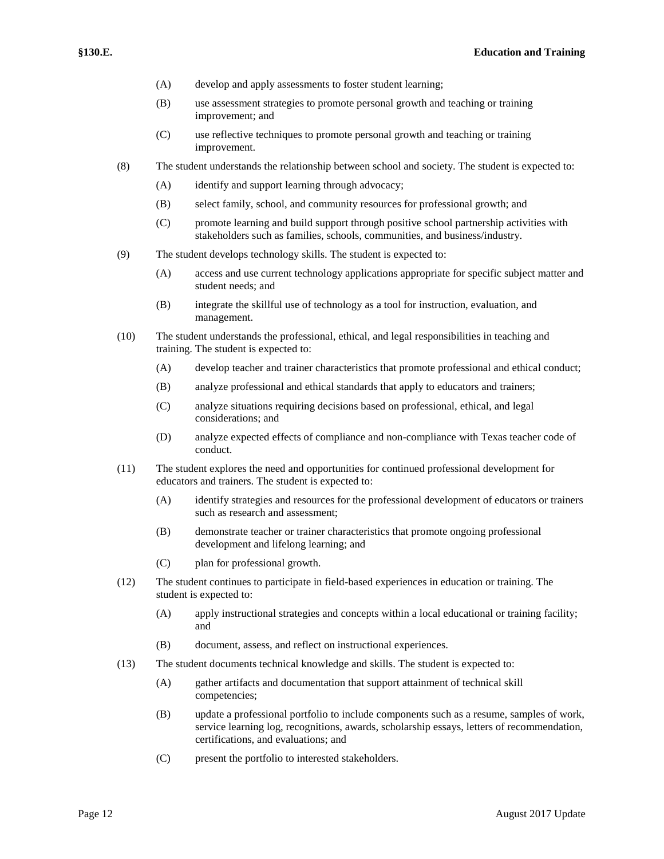- (A) develop and apply assessments to foster student learning;
- (B) use assessment strategies to promote personal growth and teaching or training improvement; and
- (C) use reflective techniques to promote personal growth and teaching or training improvement.
- (8) The student understands the relationship between school and society. The student is expected to:
	- (A) identify and support learning through advocacy;
	- (B) select family, school, and community resources for professional growth; and
	- (C) promote learning and build support through positive school partnership activities with stakeholders such as families, schools, communities, and business/industry.
- (9) The student develops technology skills. The student is expected to:
	- (A) access and use current technology applications appropriate for specific subject matter and student needs; and
	- (B) integrate the skillful use of technology as a tool for instruction, evaluation, and management.
- (10) The student understands the professional, ethical, and legal responsibilities in teaching and training. The student is expected to:
	- (A) develop teacher and trainer characteristics that promote professional and ethical conduct;
	- (B) analyze professional and ethical standards that apply to educators and trainers;
	- (C) analyze situations requiring decisions based on professional, ethical, and legal considerations; and
	- (D) analyze expected effects of compliance and non-compliance with Texas teacher code of conduct.
- (11) The student explores the need and opportunities for continued professional development for educators and trainers. The student is expected to:
	- (A) identify strategies and resources for the professional development of educators or trainers such as research and assessment;
	- (B) demonstrate teacher or trainer characteristics that promote ongoing professional development and lifelong learning; and
	- (C) plan for professional growth.
- (12) The student continues to participate in field-based experiences in education or training. The student is expected to:
	- (A) apply instructional strategies and concepts within a local educational or training facility; and
	- (B) document, assess, and reflect on instructional experiences.
- (13) The student documents technical knowledge and skills. The student is expected to:
	- (A) gather artifacts and documentation that support attainment of technical skill competencies;
	- (B) update a professional portfolio to include components such as a resume, samples of work, service learning log, recognitions, awards, scholarship essays, letters of recommendation, certifications, and evaluations; and
	- (C) present the portfolio to interested stakeholders.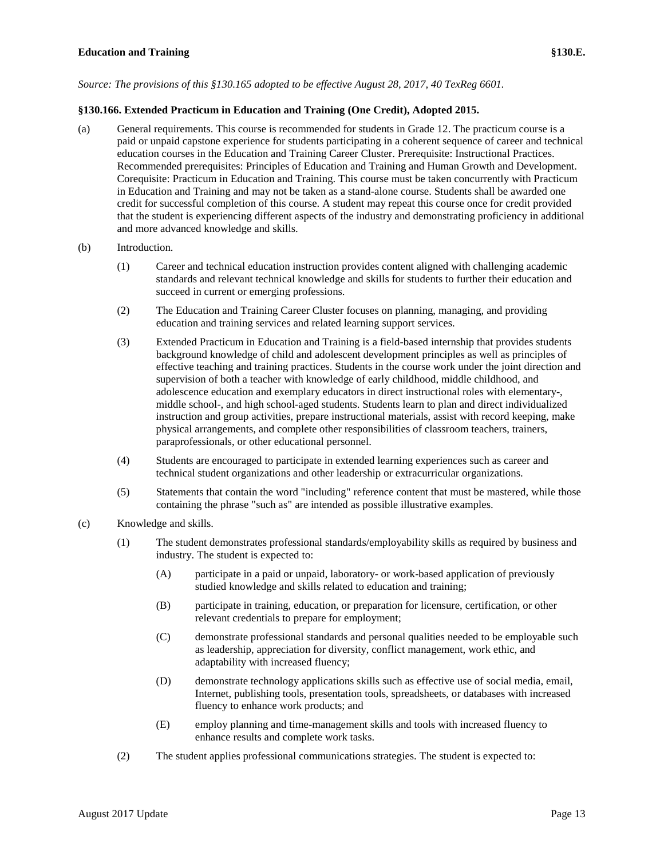*Source: The provisions of this §130.165 adopted to be effective August 28, 2017, 40 TexReg 6601.*

# **§130.166. Extended Practicum in Education and Training (One Credit), Adopted 2015.**

- (a) General requirements. This course is recommended for students in Grade 12. The practicum course is a paid or unpaid capstone experience for students participating in a coherent sequence of career and technical education courses in the Education and Training Career Cluster. Prerequisite: Instructional Practices. Recommended prerequisites: Principles of Education and Training and Human Growth and Development. Corequisite: Practicum in Education and Training. This course must be taken concurrently with Practicum in Education and Training and may not be taken as a stand-alone course. Students shall be awarded one credit for successful completion of this course. A student may repeat this course once for credit provided that the student is experiencing different aspects of the industry and demonstrating proficiency in additional and more advanced knowledge and skills.
- (b) Introduction.
	- (1) Career and technical education instruction provides content aligned with challenging academic standards and relevant technical knowledge and skills for students to further their education and succeed in current or emerging professions.
	- (2) The Education and Training Career Cluster focuses on planning, managing, and providing education and training services and related learning support services.
	- (3) Extended Practicum in Education and Training is a field-based internship that provides students background knowledge of child and adolescent development principles as well as principles of effective teaching and training practices. Students in the course work under the joint direction and supervision of both a teacher with knowledge of early childhood, middle childhood, and adolescence education and exemplary educators in direct instructional roles with elementary-, middle school-, and high school-aged students. Students learn to plan and direct individualized instruction and group activities, prepare instructional materials, assist with record keeping, make physical arrangements, and complete other responsibilities of classroom teachers, trainers, paraprofessionals, or other educational personnel.
	- (4) Students are encouraged to participate in extended learning experiences such as career and technical student organizations and other leadership or extracurricular organizations.
	- (5) Statements that contain the word "including" reference content that must be mastered, while those containing the phrase "such as" are intended as possible illustrative examples.
- (c) Knowledge and skills.
	- (1) The student demonstrates professional standards/employability skills as required by business and industry. The student is expected to:
		- (A) participate in a paid or unpaid, laboratory- or work-based application of previously studied knowledge and skills related to education and training;
		- (B) participate in training, education, or preparation for licensure, certification, or other relevant credentials to prepare for employment;
		- (C) demonstrate professional standards and personal qualities needed to be employable such as leadership, appreciation for diversity, conflict management, work ethic, and adaptability with increased fluency;
		- (D) demonstrate technology applications skills such as effective use of social media, email, Internet, publishing tools, presentation tools, spreadsheets, or databases with increased fluency to enhance work products; and
		- (E) employ planning and time-management skills and tools with increased fluency to enhance results and complete work tasks.
	- (2) The student applies professional communications strategies. The student is expected to: